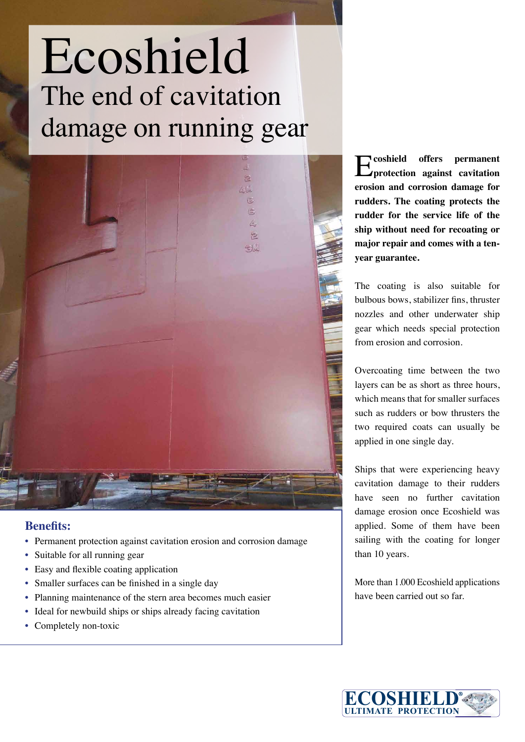## Ecoshield The end of cavitation damage on running gear



## **Benefits:**

- Permanent protection against cavitation erosion and corrosion damage
- Suitable for all running gear
- Easy and flexible coating application
- Smaller surfaces can be finished in a single day
- Planning maintenance of the stern area becomes much easier
- Ideal for newbuild ships or ships already facing cavitation
- Completely non-toxic

E**coshield offers permanent protection against cavitation erosion and corrosion damage for rudders. The coating protects the rudder for the service life of the ship without need for recoating or major repair and comes with a tenyear guarantee.** 

The coating is also suitable for bulbous bows, stabilizer fins, thruster nozzles and other underwater ship gear which needs special protection from erosion and corrosion.

Overcoating time between the two layers can be as short as three hours, which means that for smaller surfaces such as rudders or bow thrusters the two required coats can usually be applied in one single day.

Ships that were experiencing heavy cavitation damage to their rudders have seen no further cavitation damage erosion once Ecoshield was applied. Some of them have been sailing with the coating for longer than 10 years.

More than 1.000 Ecoshield applications have been carried out so far.